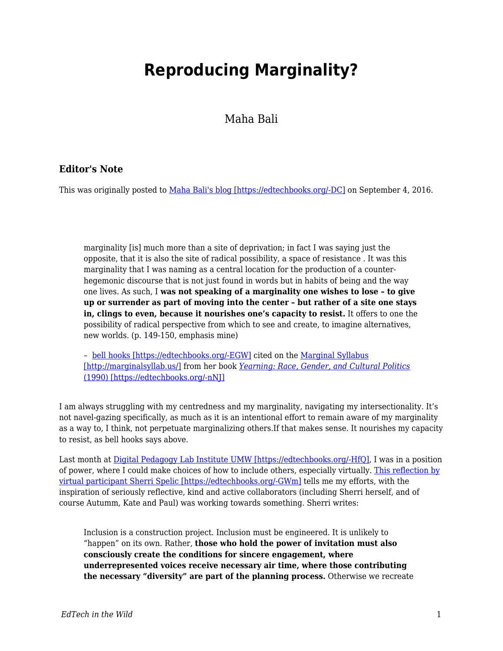## **Reproducing Marginality?**

Maha Bali

## **Editor's Note**

This was originally posted to [Maha Bali's blog \[https://edtechbooks.org/-DC\]](https://blog.mahabali.me/pedagogy/critical-pedagogy/reproducing-marginality/) on September 4, 2016.

marginality [is] much more than a site of deprivation; in fact I was saying just the opposite, that it is also the site of radical possibility, a space of resistance . It was this marginality that I was naming as a central location for the production of a counterhegemonic discourse that is not just found in words but in habits of being and the way one lives. As such, I **was not speaking of a marginality one wishes to lose – to give up or surrender as part of moving into the center – but rather of a site one stays in, clings to even, because it nourishes one's capacity to resist.** It offers to one the possibility of radical perspective from which to see and create, to imagine alternatives, new worlds. (p. 149-150, emphasis mine)

– [bell hooks \[https://edtechbooks.org/-EGW\]](http://www.bellhooksinstitute.com/) cited on the [Marginal Syllabus](http://marginalsyllab.us/) [\[http://marginalsyllab.us/\]](http://marginalsyllab.us/) from her book *[Yearning: Race, Gender, and Cultural Politics](https://www.goodreads.com/book/show/385655.Yearning)* [\(1990\) \[https://edtechbooks.org/-nNJ\]](https://www.goodreads.com/book/show/385655.Yearning)

I am always struggling with my centredness and my marginality, navigating my intersectionality. It's not navel-gazing specifically, as much as it is an intentional effort to remain aware of my marginality as a way to, I think, not perpetuate marginalizing others.If that makes sense. It nourishes my capacity to resist, as bell hooks says above.

Last month at [Digital Pedagogy Lab Institute UMW \[https://edtechbooks.org/-HfQ\],](http://www.digpedlab.com/institute) I was in a position of power, where I could make choices of how to include others, especially virtually. [This reflection by](http://www.digitalpedagogylab.com/digital-pedagogy-lab-2016-institute-aftermath-future-tense/) [virtual participant Sherri Spelic \[https://edtechbooks.org/-GWm\]](http://www.digitalpedagogylab.com/digital-pedagogy-lab-2016-institute-aftermath-future-tense/) tells me my efforts, with the inspiration of seriously reflective, kind and active collaborators (including Sherri herself, and of course Autumm, Kate and Paul) was working towards something. Sherri writes:

Inclusion is a construction project. Inclusion must be engineered. It is unlikely to "happen" on its own. Rather, **those who hold the power of invitation must also consciously create the conditions for sincere engagement, where underrepresented voices receive necessary air time, where those contributing the necessary "diversity" are part of the planning process.** Otherwise we recreate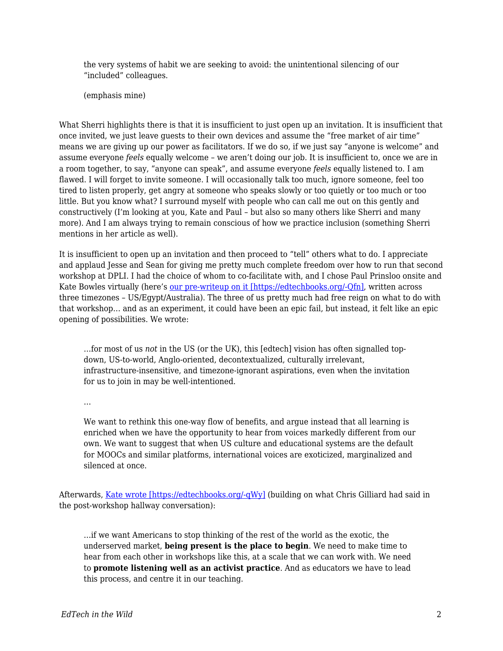the very systems of habit we are seeking to avoid: the unintentional silencing of our "included" colleagues.

(emphasis mine)

What Sherri highlights there is that it is insufficient to just open up an invitation. It is insufficient that once invited, we just leave guests to their own devices and assume the "free market of air time" means we are giving up our power as facilitators. If we do so, if we just say "anyone is welcome" and assume everyone *feels* equally welcome – we aren't doing our job. It is insufficient to, once we are in a room together, to say, "anyone can speak", and assume everyone *feels* equally listened to. I am flawed. I will forget to invite someone. I will occasionally talk too much, ignore someone, feel too tired to listen properly, get angry at someone who speaks slowly or too quietly or too much or too little. But you know what? I surround myself with people who can call me out on this gently and constructively (I'm looking at you, Kate and Paul – but also so many others like Sherri and many more). And I am always trying to remain conscious of how we practice inclusion (something Sherri mentions in her article as well).

It is insufficient to open up an invitation and then proceed to "tell" others what to do. I appreciate and applaud Jesse and Sean for giving me pretty much complete freedom over how to run that second workshop at DPLI. I had the choice of whom to co-facilitate with, and I chose Paul Prinsloo onsite and Kate Bowles virtually (here's [our pre-writeup on it \[https://edtechbooks.org/-Qfn\],](https://edcontexts.org/contexts-matter/international-something-why-you-should-care-digped/) written across three timezones – US/Egypt/Australia). The three of us pretty much had free reign on what to do with that workshop… and as an experiment, it could have been an epic fail, but instead, it felt like an epic opening of possibilities. We wrote:

…for most of us *not* in the US (or the UK), this [edtech] vision has often signalled topdown, US-to-world, Anglo-oriented, decontextualized, culturally irrelevant, infrastructure-insensitive, and timezone-ignorant aspirations, even when the invitation for us to join in may be well-intentioned.

 $\mathbb{R}^2$ 

We want to rethink this one-way flow of benefits, and argue instead that all learning is enriched when we have the opportunity to hear from voices markedly different from our own. We want to suggest that when US culture and educational systems are the default for MOOCs and similar platforms, international voices are exoticized, marginalized and silenced at once.

Afterwards, [Kate wrote \[https://edtechbooks.org/-qWy\]](http://musicfordeckchairs.com/blog/2016/08/12/usnot-us/) (building on what Chris Gilliard had said in the post-workshop hallway conversation):

…if we want Americans to stop thinking of the rest of the world as the exotic, the underserved market, **being present is the place to begin**. We need to make time to hear from each other in workshops like this, at a scale that we can work with. We need to **promote listening well as an activist practice**. And as educators we have to lead this process, and centre it in our teaching.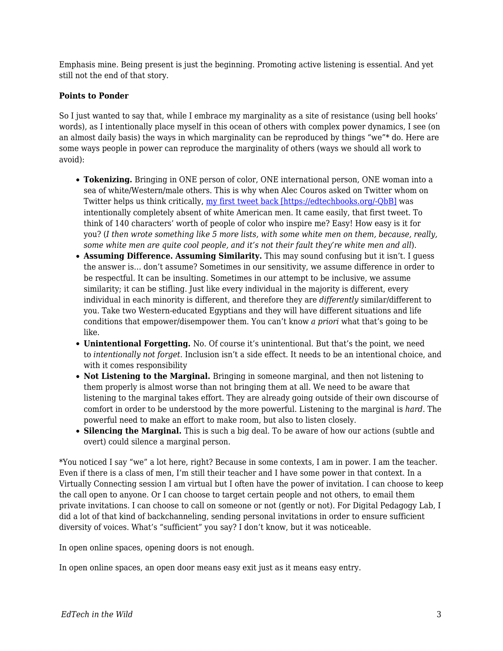Emphasis mine. Being present is just the beginning. Promoting active listening is essential. And yet still not the end of that story.

## **Points to Ponder**

So I just wanted to say that, while I embrace my marginality as a site of resistance (using bell hooks' words), as I intentionally place myself in this ocean of others with complex power dynamics, I see (on an almost daily basis) the ways in which marginality can be reproduced by things "we"\* do. Here are some ways people in power can reproduce the marginality of others (ways we should all work to avoid):

- **Tokenizing.** Bringing in ONE person of color, ONE international person, ONE woman into a sea of white/Western/male others. This is why when Alec Couros asked on Twitter whom on Twitter helps us think critically, [my first tweet back \[https://edtechbooks.org/-QbB\]](https://twitter.com/Bali_Maha/status/772230662283722752) was intentionally completely absent of white American men. It came easily, that first tweet. To think of 140 characters' worth of people of color who inspire me? Easy! How easy is it for you? (*I then wrote something like 5 more lists, with some white men on them, because, really, some white men are quite cool people, and it's not their fault they're white men and all*).
- **Assuming Difference. Assuming Similarity.** This may sound confusing but it isn't. I guess the answer is… don't assume? Sometimes in our sensitivity, we assume difference in order to be respectful. It can be insulting. Sometimes in our attempt to be inclusive, we assume similarity; it can be stifling. Just like every individual in the majority is different, every individual in each minority is different, and therefore they are *differently* similar/different to you. Take two Western-educated Egyptians and they will have different situations and life conditions that empower/disempower them. You can't know *a priori* what that's going to be like.
- **Unintentional Forgetting.** No. Of course it's unintentional. But that's the point, we need to *intentionally not forget.* Inclusion isn't a side effect. It needs to be an intentional choice, and with it comes responsibility
- **Not Listening to the Marginal.** Bringing in someone marginal, and then not listening to them properly is almost worse than not bringing them at all. We need to be aware that listening to the marginal takes effort. They are already going outside of their own discourse of comfort in order to be understood by the more powerful. Listening to the marginal is *hard.* The powerful need to make an effort to make room, but also to listen closely.
- **Silencing the Marginal.** This is such a big deal. To be aware of how our actions (subtle and overt) could silence a marginal person.

\*You noticed I say "we" a lot here, right? Because in some contexts, I am in power. I am the teacher. Even if there is a class of men, I'm still their teacher and I have some power in that context. In a Virtually Connecting session I am virtual but I often have the power of invitation. I can choose to keep the call open to anyone. Or I can choose to target certain people and not others, to email them private invitations. I can choose to call on someone or not (gently or not). For Digital Pedagogy Lab, I did a lot of that kind of backchanneling, sending personal invitations in order to ensure sufficient diversity of voices. What's "sufficient" you say? I don't know, but it was noticeable.

In open online spaces, opening doors is not enough.

In open online spaces, an open door means easy exit just as it means easy entry.